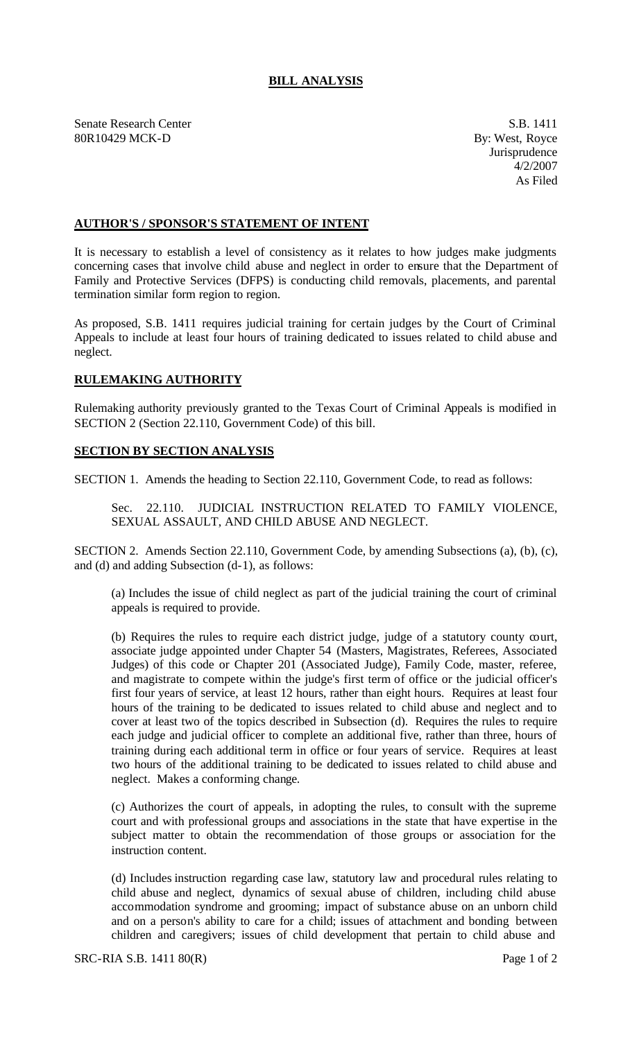## **BILL ANALYSIS**

Senate Research Center S.B. 1411 80R10429 MCK-D By: West, Royce

Jurisprudence 4/2/2007 As Filed

## **AUTHOR'S / SPONSOR'S STATEMENT OF INTENT**

It is necessary to establish a level of consistency as it relates to how judges make judgments concerning cases that involve child abuse and neglect in order to ensure that the Department of Family and Protective Services (DFPS) is conducting child removals, placements, and parental termination similar form region to region.

As proposed, S.B. 1411 requires judicial training for certain judges by the Court of Criminal Appeals to include at least four hours of training dedicated to issues related to child abuse and neglect.

## **RULEMAKING AUTHORITY**

Rulemaking authority previously granted to the Texas Court of Criminal Appeals is modified in SECTION 2 (Section 22.110, Government Code) of this bill.

## **SECTION BY SECTION ANALYSIS**

SECTION 1. Amends the heading to Section 22.110, Government Code, to read as follows:

Sec. 22.110. JUDICIAL INSTRUCTION RELATED TO FAMILY VIOLENCE, SEXUAL ASSAULT, AND CHILD ABUSE AND NEGLECT.

SECTION 2. Amends Section 22.110, Government Code, by amending Subsections (a), (b), (c), and (d) and adding Subsection (d-1), as follows:

(a) Includes the issue of child neglect as part of the judicial training the court of criminal appeals is required to provide.

(b) Requires the rules to require each district judge, judge of a statutory county court, associate judge appointed under Chapter 54 (Masters, Magistrates, Referees, Associated Judges) of this code or Chapter 201 (Associated Judge), Family Code, master, referee, and magistrate to compete within the judge's first term of office or the judicial officer's first four years of service, at least 12 hours, rather than eight hours. Requires at least four hours of the training to be dedicated to issues related to child abuse and neglect and to cover at least two of the topics described in Subsection (d). Requires the rules to require each judge and judicial officer to complete an additional five, rather than three, hours of training during each additional term in office or four years of service. Requires at least two hours of the additional training to be dedicated to issues related to child abuse and neglect. Makes a conforming change.

(c) Authorizes the court of appeals, in adopting the rules, to consult with the supreme court and with professional groups and associations in the state that have expertise in the subject matter to obtain the recommendation of those groups or association for the instruction content.

(d) Includes instruction regarding case law, statutory law and procedural rules relating to child abuse and neglect, dynamics of sexual abuse of children, including child abuse accommodation syndrome and grooming; impact of substance abuse on an unborn child and on a person's ability to care for a child; issues of attachment and bonding between children and caregivers; issues of child development that pertain to child abuse and